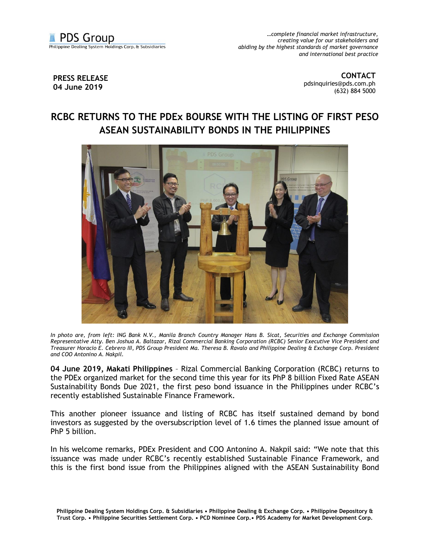

*…complete financial market infrastructure, creating value for our stakeholders and abiding by the highest standards of market governance and international best practice*

## **PRESS RELEASE 04 June 2019**

**CONTACT** [pdsinquiries@pds.com.ph](mailto:pdsinquiries@pds.com.ph) (632) 884 5000

## **RCBC RETURNS TO THE PDEx BOURSE WITH THE LISTING OF FIRST PESO ASEAN SUSTAINABILITY BONDS IN THE PHILIPPINES**



*In photo are, from left: ING Bank N.V., Manila Branch Country Manager Hans B. Sicat, Securities and Exchange Commission Representative Atty. Ben Joshua A. Baltazar, Rizal Commercial Banking Corporation (RCBC) Senior Executive Vice President and Treasurer Horacio E. Cebrero III, PDS Group President Ma. Theresa B. Ravalo and Philippine Dealing & Exchange Corp. President and COO Antonino A. Nakpil.*

**04 June 2019, Makati Philippines** – Rizal Commercial Banking Corporation (RCBC) returns to the PDEx organized market for the second time this year for its PhP 8 billion Fixed Rate ASEAN Sustainability Bonds Due 2021, the first peso bond issuance in the Philippines under RCBC's recently established Sustainable Finance Framework.

This another pioneer issuance and listing of RCBC has itself sustained demand by bond investors as suggested by the oversubscription level of 1.6 times the planned issue amount of PhP 5 billion.

In his welcome remarks, PDEx President and COO Antonino A. Nakpil said: "We note that this issuance was made under RCBC's recently established Sustainable Finance Framework, and this is the first bond issue from the Philippines aligned with the ASEAN Sustainability Bond